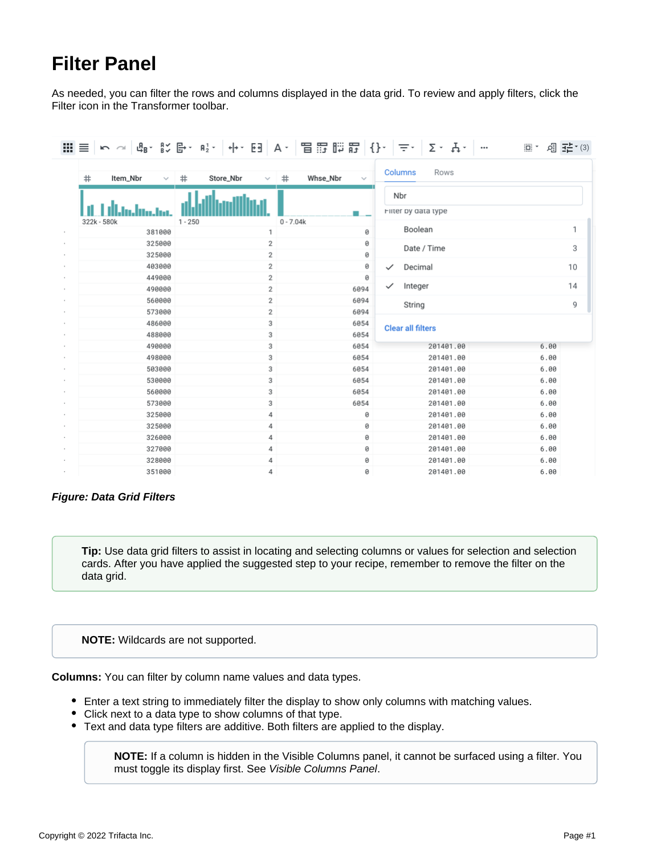## **Filter Panel**

As needed, you can filter the rows and columns displayed in the data grid. To review and apply filters, click the Filter icon in the Transformer toolbar.

| $\mathbb{H} \equiv$           | ┕ ∼│ ╚ · Ҝ ╚ · ╹ ·│ ↔ · □ │ ∀ ·│ 昌 m ﷺ │ {} ·│ = ·│ ∑ · ∵ |                               |              |                          | $\mathop{\boxplus}\limits^{\mathop{\rightarrow}}$<br>$\cdots$ | 如亞 (3) |  |
|-------------------------------|-----------------------------------------------------------|-------------------------------|--------------|--------------------------|---------------------------------------------------------------|--------|--|
| #<br>Item_Nbr<br>$\checkmark$ | Store_Nbr<br>$\#$<br>$\checkmark$                         | Whse_Nbr<br>#<br>$\checkmark$ |              | Columns<br>Rows          |                                                               |        |  |
| 322k - 580k                   | $1 - 250$                                                 |                               | Nbr          |                          |                                                               |        |  |
|                               |                                                           | $0 - 7.04k$                   |              | Filter by data type      |                                                               |        |  |
| 381000                        | 1                                                         | 0                             |              | Boolean                  |                                                               | 1      |  |
| 325000                        | 2                                                         | 0                             |              | Date / Time              |                                                               | 3      |  |
| 325000                        | 2                                                         | 0                             |              |                          |                                                               |        |  |
| 403000                        | 2                                                         | 0                             | $\checkmark$ | Decimal                  |                                                               | 10     |  |
| 449000                        | 2                                                         | 0                             |              |                          |                                                               |        |  |
| 490000                        | 2                                                         | 6094                          | $\checkmark$ | Integer                  |                                                               | 14     |  |
| 560000                        | 2                                                         | 6094                          |              | String                   |                                                               | 9      |  |
| 573000                        | 2                                                         | 6094                          |              |                          |                                                               |        |  |
| 486000                        | 3                                                         | 6054                          |              | <b>Clear all filters</b> |                                                               |        |  |
| 488000                        | 3                                                         | 6054                          |              |                          |                                                               |        |  |
| 490000<br>498000              | 3<br>3                                                    | 6054<br>6054                  |              | 201401.00<br>201401.00   | 6.00<br>6.00                                                  |        |  |
| 503000                        | 3                                                         | 6054                          |              | 201401.00                | 6.00                                                          |        |  |
| 530000                        | 3                                                         | 6054                          |              | 201401.00                | 6.00                                                          |        |  |
| 560000                        | 3                                                         | 6054                          |              | 201401.00                | 6.00                                                          |        |  |
| 573000                        | 3                                                         | 6054                          |              | 201401.00                | 6.00                                                          |        |  |
| 325000                        | 4                                                         | 0                             |              | 201401.00                | 6.00                                                          |        |  |
| 325000                        | 4                                                         | 0                             |              | 201401.00                | 6.00                                                          |        |  |
| 326000                        | 4                                                         | 0                             |              | 201401.00                | 6.00                                                          |        |  |
| 327000                        | 4                                                         | 0                             |              | 201401.00                | 6.00                                                          |        |  |
| 328000                        | 4                                                         | 0                             |              | 201401.00                | 6.00                                                          |        |  |
| 351000                        | 4                                                         | 0                             |              | 201401.00                | 6.00                                                          |        |  |

## **Figure: Data Grid Filters**

**Tip:** Use data grid filters to assist in locating and selecting columns or values for selection and selection cards. After you have applied the suggested step to your recipe, remember to remove the filter on the data grid.

## **NOTE:** Wildcards are not supported.

**Columns:** You can filter by column name values and data types.

- Enter a text string to immediately filter the display to show only columns with matching values.
- Click next to a data type to show columns of that type.
- Text and data type filters are additive. Both filters are applied to the display.

**NOTE:** If a column is hidden in the Visible Columns panel, it cannot be surfaced using a filter. You must toggle its display first. See [Visible Columns Panel](https://docs.trifacta.com/display/SS/Visible+Columns+Panel).